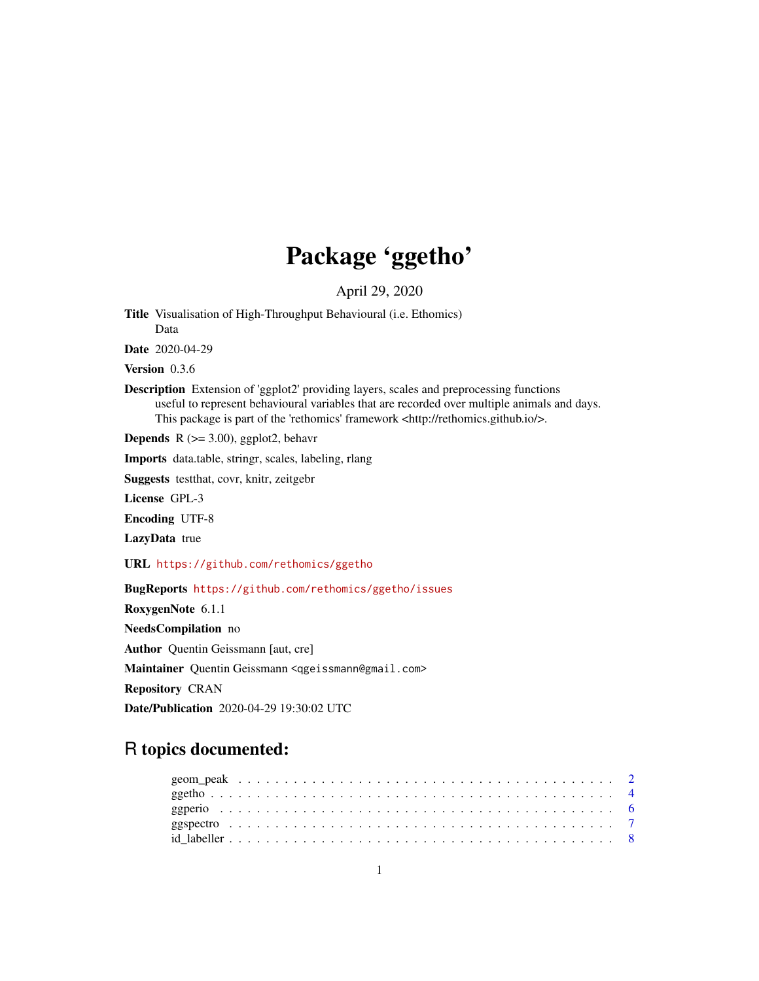# Package 'ggetho'

April 29, 2020

<span id="page-0-0"></span>Title Visualisation of High-Throughput Behavioural (i.e. Ethomics) Data

Date 2020-04-29

Version 0.3.6

Description Extension of 'ggplot2' providing layers, scales and preprocessing functions useful to represent behavioural variables that are recorded over multiple animals and days. This package is part of the 'rethomics' framework <http://rethomics.github.io/>.

**Depends** R  $(>= 3.00)$ , ggplot2, behavr

Imports data.table, stringr, scales, labeling, rlang

Suggests testthat, covr, knitr, zeitgebr

License GPL-3

Encoding UTF-8

LazyData true

URL <https://github.com/rethomics/ggetho>

BugReports <https://github.com/rethomics/ggetho/issues>

RoxygenNote 6.1.1

NeedsCompilation no

Author Quentin Geissmann [aut, cre]

Maintainer Quentin Geissmann <qgeissmann@gmail.com>

Repository CRAN

Date/Publication 2020-04-29 19:30:02 UTC

# R topics documented: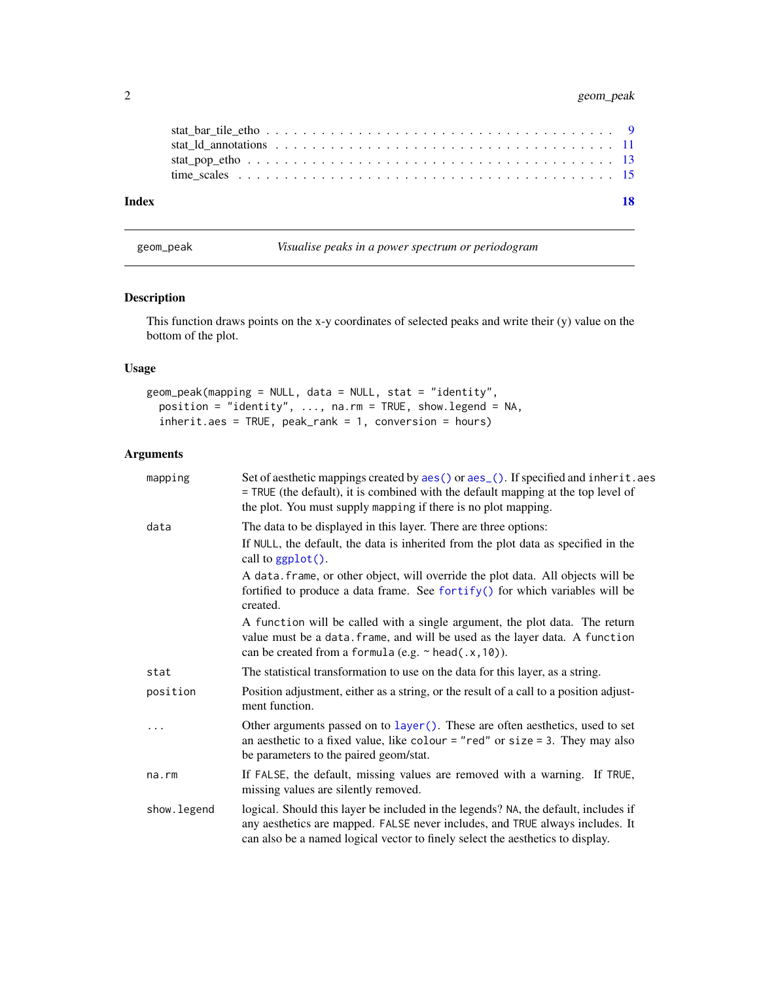# <span id="page-1-0"></span>2 geom\_peak

| 18 |
|----|
|    |
|    |
|    |
|    |
|    |

<span id="page-1-1"></span>geom\_peak *Visualise peaks in a power spectrum or periodogram*

# Description

This function draws points on the x-y coordinates of selected peaks and write their (y) value on the bottom of the plot.

### Usage

```
geom_peak(mapping = NULL, data = NULL, stat = "identity",
 position = "identity", ..., na.rm = TRUE, show.legend = NA,
  inherit.aes = TRUE, peak_rank = 1, conversion = hours)
```

| mapping     | Set of aesthetic mappings created by aes () or aes (). If specified and inherit. aes<br>= TRUE (the default), it is combined with the default mapping at the top level of<br>the plot. You must supply mapping if there is no plot mapping.            |
|-------------|--------------------------------------------------------------------------------------------------------------------------------------------------------------------------------------------------------------------------------------------------------|
| data        | The data to be displayed in this layer. There are three options:                                                                                                                                                                                       |
|             | If NULL, the default, the data is inherited from the plot data as specified in the<br>call to ggplot().                                                                                                                                                |
|             | A data. frame, or other object, will override the plot data. All objects will be<br>fortified to produce a data frame. See fortify() for which variables will be<br>created.                                                                           |
|             | A function will be called with a single argument, the plot data. The return<br>value must be a data. frame, and will be used as the layer data. A function<br>can be created from a formula (e.g. $\sim$ head(.x, 10)).                                |
| stat        | The statistical transformation to use on the data for this layer, as a string.                                                                                                                                                                         |
| position    | Position adjustment, either as a string, or the result of a call to a position adjust-<br>ment function.                                                                                                                                               |
| .           | Other arguments passed on to layer (). These are often aesthetics, used to set<br>an aesthetic to a fixed value, like colour = "red" or size = 3. They may also<br>be parameters to the paired geom/stat.                                              |
| na.rm       | If FALSE, the default, missing values are removed with a warning. If TRUE,<br>missing values are silently removed.                                                                                                                                     |
| show.legend | logical. Should this layer be included in the legends? NA, the default, includes if<br>any aesthetics are mapped. FALSE never includes, and TRUE always includes. It<br>can also be a named logical vector to finely select the aesthetics to display. |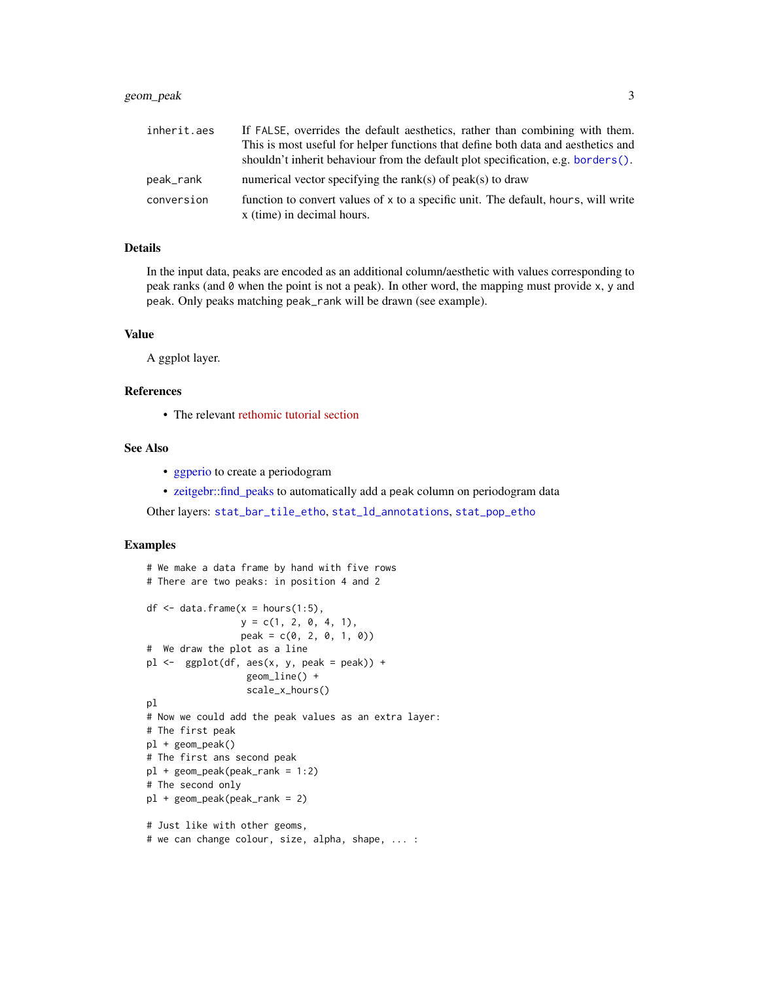# <span id="page-2-0"></span>geom\_peak 3

| inherit.aes | If FALSE, overrides the default aesthetics, rather than combining with them.                                     |
|-------------|------------------------------------------------------------------------------------------------------------------|
|             | This is most useful for helper functions that define both data and aesthetics and                                |
|             | shouldn't inherit behaviour from the default plot specification, e.g. borders().                                 |
| peak_rank   | numerical vector specifying the rank(s) of peak(s) to draw                                                       |
| conversion  | function to convert values of x to a specific unit. The default, hours, will write<br>x (time) in decimal hours. |

#### Details

In the input data, peaks are encoded as an additional column/aesthetic with values corresponding to peak ranks (and 0 when the point is not a peak). In other word, the mapping must provide x, y and peak. Only peaks matching peak\_rank will be drawn (see example).

#### Value

A ggplot layer.

#### References

• The relevant [rethomic tutorial section](https://rethomics.github.io/ggetho.html#periodograms)

#### See Also

- [ggperio](#page-5-1) to create a periodogram
- [zeitgebr::find\\_peaks](#page-0-0) to automatically add a peak column on periodogram data

Other layers: [stat\\_bar\\_tile\\_etho](#page-8-1), [stat\\_ld\\_annotations](#page-10-1), [stat\\_pop\\_etho](#page-12-1)

```
# We make a data frame by hand with five rows
# There are two peaks: in position 4 and 2
df \leq data.frame(x = hours(1:5),
                 y = c(1, 2, 0, 4, 1),peak = c(0, 2, 0, 1, 0)# We draw the plot as a line
p1 \leftarrow ggplot(df, aes(x, y, peak = peak)) +
                  geom_line() +
                  scale_x_hours()
pl
# Now we could add the peak values as an extra layer:
# The first peak
pl + geom_peak()
# The first ans second peak
pl + geom_peak(peak_rank = 1:2)
# The second only
pl + geom_peak(peak_rank = 2)
# Just like with other geoms,
# we can change colour, size, alpha, shape, ... :
```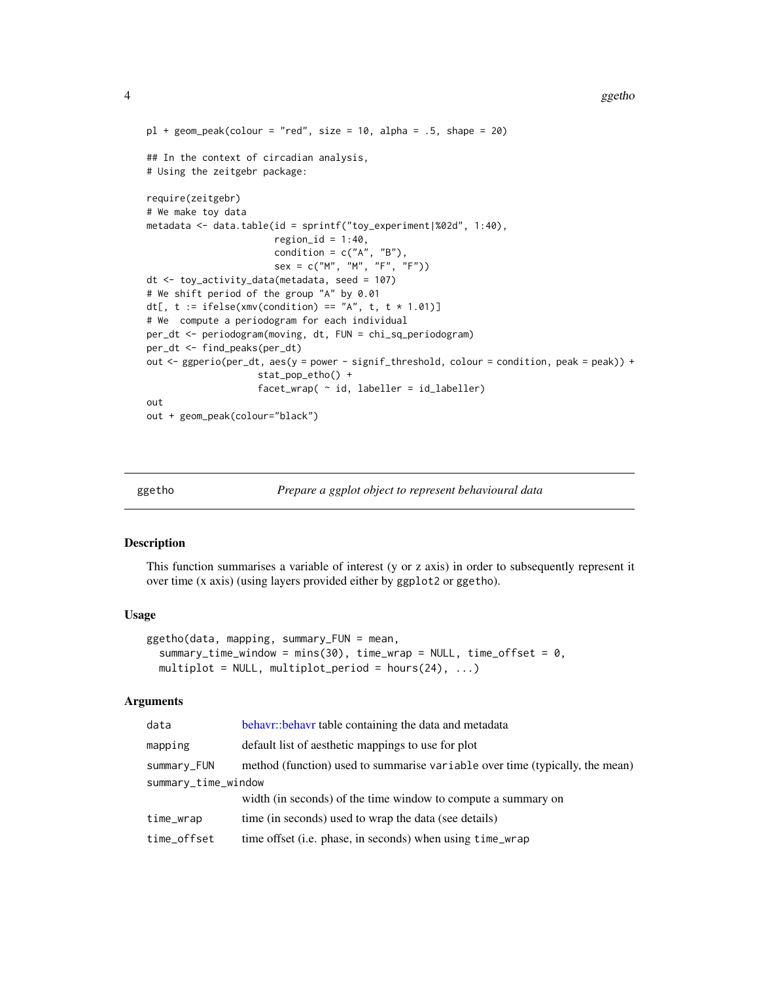#### <span id="page-3-0"></span>4 ggethologie and the state of the state of the state of the state of the state of the state of the state of the state of the state of the state of the state of the state of the state of the state of the state of the state

```
pl + geom\_peak(colour = "red", size = 10, alpha = .5, shape = 20)## In the context of circadian analysis,
# Using the zeitgebr package:
require(zeitgebr)
# We make toy data
metadata <- data.table(id = sprintf("toy_experiment|%02d", 1:40),
                       region_id = 1:40,condition = c("A", "B"),
                       sex = c("M", "M", "F", "F")dt <- toy_activity_data(metadata, seed = 107)
# We shift period of the group "A" by 0.01
dt[, t := ifelse(xmv(condition) == "A", t, t * 1.01)]# We compute a periodogram for each individual
per_dt <- periodogram(moving, dt, FUN = chi_sq_periodogram)
per_dt <- find_peaks(per_dt)
out <- ggperio(per_dt, aes(y = power - signif_threshold, colour = condition, peak = peak)) +
                    stat_pop_etho() +
                    facet_wrap( ~\dot{ }~id,~labeller = id_labels1out
out + geom_peak(colour="black")
```
#### <span id="page-3-1"></span>ggetho *Prepare a ggplot object to represent behavioural data*

#### Description

This function summarises a variable of interest (y or z axis) in order to subsequently represent it over time (x axis) (using layers provided either by ggplot2 or ggetho).

#### Usage

```
ggetho(data, mapping, summary_FUN = mean,
  summary_time_window = mins(30), time_wrap = NULL, time_offset = 0,
  multiplot = NULL, multiplot_period = hours(24), \dots)
```

| data                | behavr: behavr table containing the data and metadata                        |  |  |  |  |
|---------------------|------------------------------------------------------------------------------|--|--|--|--|
| mapping             | default list of aesthetic mappings to use for plot                           |  |  |  |  |
| summary_FUN         | method (function) used to summarise variable over time (typically, the mean) |  |  |  |  |
| summary_time_window |                                                                              |  |  |  |  |
|                     | width (in seconds) of the time window to compute a summary on                |  |  |  |  |
| time_wrap           | time (in seconds) used to wrap the data (see details)                        |  |  |  |  |
| time_offset         | time offset (i.e. phase, in seconds) when using time_wrap                    |  |  |  |  |
|                     |                                                                              |  |  |  |  |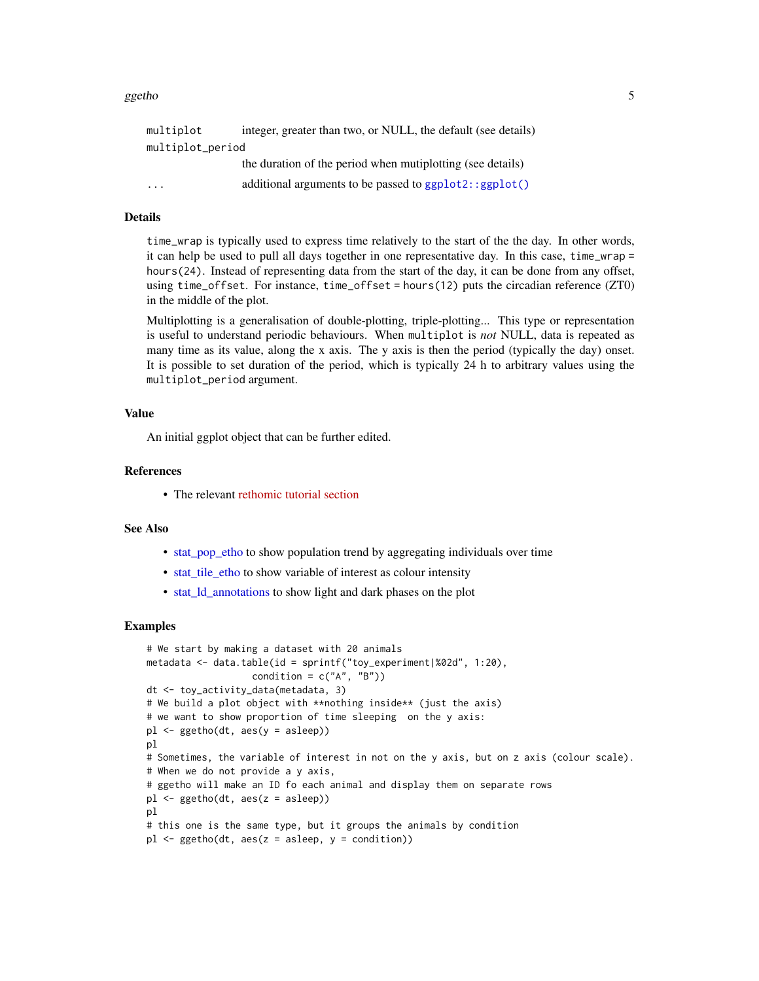#### <span id="page-4-0"></span>ggetho 5

| multiplot        | integer, greater than two, or NULL, the default (see details) |
|------------------|---------------------------------------------------------------|
| multiplot_period |                                                               |
|                  | the duration of the period when mutiplotting (see details)    |
| $\cdots$         | additional arguments to be passed to ggplot2::ggplot()        |

#### Details

time\_wrap is typically used to express time relatively to the start of the the day. In other words, it can help be used to pull all days together in one representative day. In this case, time\_wrap = hours(24). Instead of representing data from the start of the day, it can be done from any offset, using time\_offset. For instance, time\_offset = hours(12) puts the circadian reference (ZT0) in the middle of the plot.

Multiplotting is a generalisation of double-plotting, triple-plotting... This type or representation is useful to understand periodic behaviours. When multiplot is *not* NULL, data is repeated as many time as its value, along the x axis. The y axis is then the period (typically the day) onset. It is possible to set duration of the period, which is typically 24 h to arbitrary values using the multiplot\_period argument.

#### Value

An initial ggplot object that can be further edited.

#### References

• The relevant [rethomic tutorial section](https://rethomics.github.io/ggetho.html#the-ggetho-function)

#### See Also

- [stat\\_pop\\_etho](#page-12-1) to show population trend by aggregating individuals over time
- [stat\\_tile\\_etho](#page-8-2) to show variable of interest as colour intensity
- [stat\\_ld\\_annotations](#page-10-1) to show light and dark phases on the plot

```
# We start by making a dataset with 20 animals
metadata <- data.table(id = sprintf("toy_experiment|%02d", 1:20),
                   condition = c("A", "B")dt <- toy_activity_data(metadata, 3)
# We build a plot object with **nothing inside** (just the axis)
# we want to show proportion of time sleeping on the y axis:
pl <- ggetho(dt, aes(y = asleep))
pl
# Sometimes, the variable of interest in not on the y axis, but on z axis (colour scale).
# When we do not provide a y axis,
# ggetho will make an ID fo each animal and display them on separate rows
pl <- ggetho(dt, aes(z = asleep))
pl
# this one is the same type, but it groups the animals by condition
pl \leq-ggetho(dt, aes(z = asleep, y = condition))
```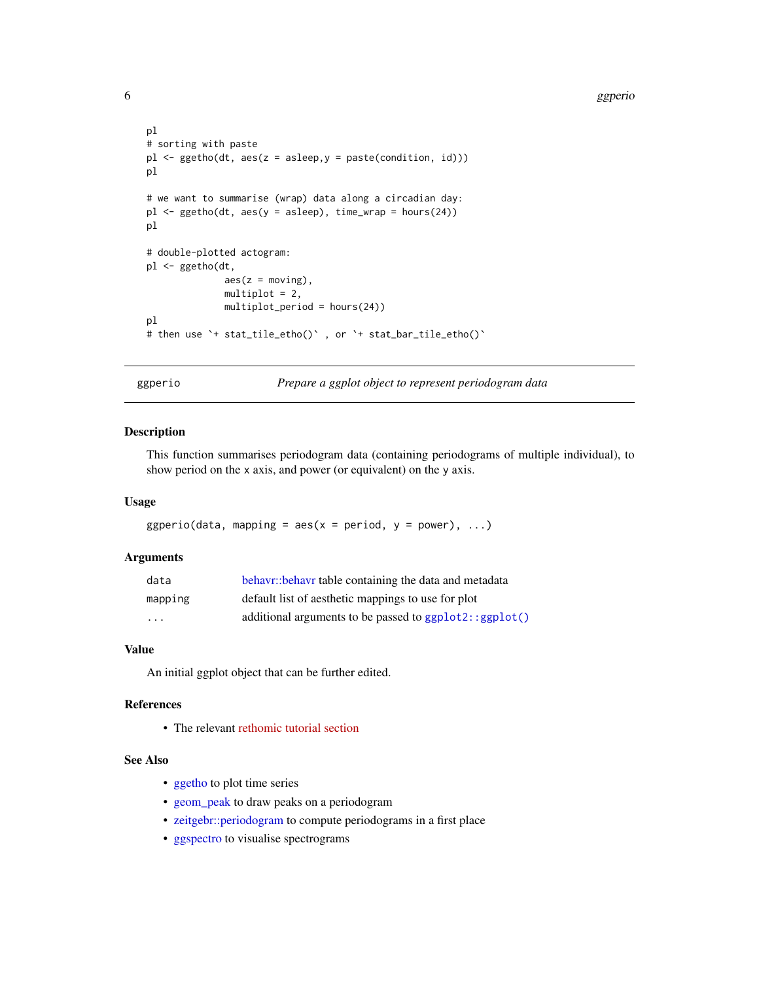```
pl
# sorting with paste
pl <- ggetho(dt, aes(z = asleep,y = paste(condition, id)))
pl
# we want to summarise (wrap) data along a circadian day:
pl \leq-ggetho(dt, aes(y = asleep), time_wrap = hours(24))pl
# double-plotted actogram:
pl <- ggetho(dt,
              aes(z = moving),
              multiplot = 2,
              multiplot_period = hours(24))
pl
# then use `+ stat_tile_etho()` , or `+ stat_bar_tile_etho()`
```
<span id="page-5-1"></span>ggperio *Prepare a ggplot object to represent periodogram data*

# Description

This function summarises periodogram data (containing periodograms of multiple individual), to show period on the x axis, and power (or equivalent) on the y axis.

#### Usage

ggperio(data, mapping = aes( $x = period$ ,  $y = power$ ), ...)

#### Arguments

| data                    | behavr::behavr table containing the data and metadata    |
|-------------------------|----------------------------------------------------------|
| mapping                 | default list of aesthetic mappings to use for plot       |
| $\cdot$ $\cdot$ $\cdot$ | additional arguments to be passed to $ggplot2::ggplot()$ |

#### Value

An initial ggplot object that can be further edited.

# References

• The relevant [rethomic tutorial section](https://rethomics.github.io/ggetho.html#periodograms)

#### See Also

- [ggetho](#page-3-1) to plot time series
- [geom\\_peak](#page-1-1) to draw peaks on a periodogram
- [zeitgebr::periodogram](#page-0-0) to compute periodograms in a first place
- [ggspectro](#page-6-1) to visualise spectrograms

<span id="page-5-0"></span>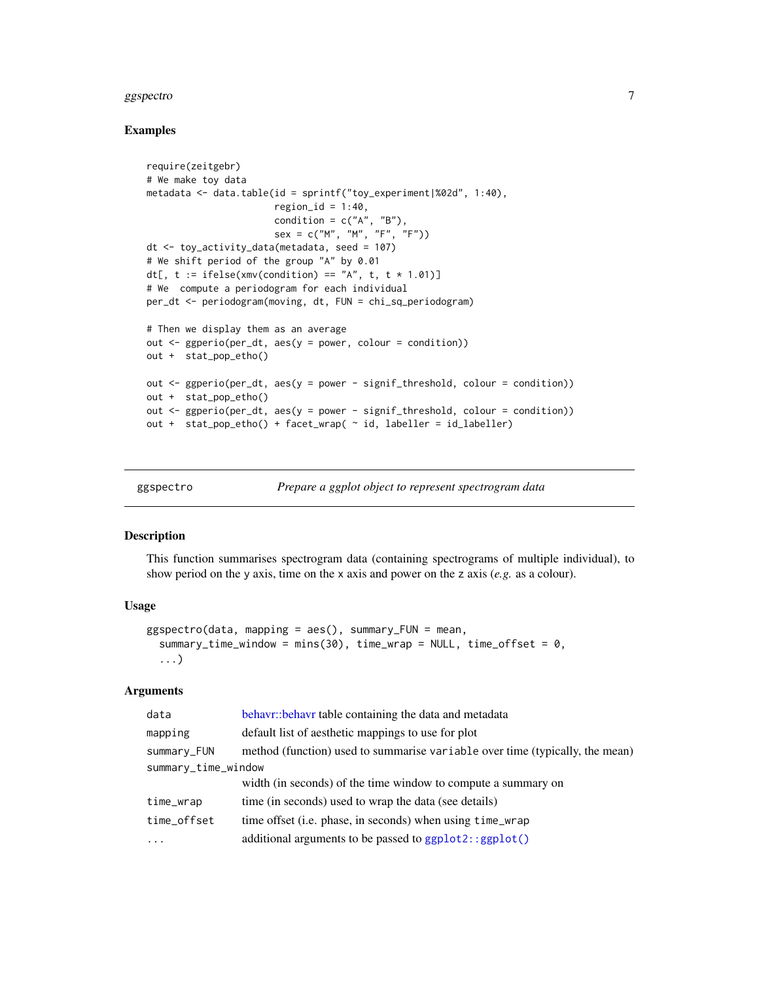#### <span id="page-6-0"></span>ggspectro and the set of the set of the set of the set of the set of the set of the set of the set of the set of the set of the set of the set of the set of the set of the set of the set of the set of the set of the set of

#### Examples

```
require(zeitgebr)
# We make toy data
metadata <- data.table(id = sprintf("toy_experiment|%02d", 1:40),
                       region_id = 1:40,condition = c("A", "B"),
                       sex = c("M", "M", "F", "F")dt <- toy_activity_data(metadata, seed = 107)
# We shift period of the group "A" by 0.01
dt[, t := ifelse(xmv(condition) == "A", t, t * 1.01)]# We compute a periodogram for each individual
per_dt <- periodogram(moving, dt, FUN = chi_sq_periodogram)
# Then we display them as an average
out \leq ggperio(per_dt, aes(y = power, colour = condition))
out + stat_pop_etho()
out <- ggperio(per_dt, aes(y = power - signif_threshold, colour = condition))
out + stat_pop_etho()
out <- ggperio(per_dt, aes(y = power - signif_threshold, colour = condition))
out + stat_pop_etho() + facet_wrap( ~ id, labeller = id_labeller)
```
<span id="page-6-1"></span>

ggspectro *Prepare a ggplot object to represent spectrogram data*

#### Description

This function summarises spectrogram data (containing spectrograms of multiple individual), to show period on the y axis, time on the x axis and power on the z axis (*e.g.* as a colour).

#### Usage

```
ggspectro(data, mapping = aes(), summary_FUN = mean,summary_time_window = mins(30), time_wrap = NULL, time_offset = 0,
  ...)
```

| data                | behavr: behavr table containing the data and metadata                        |  |  |  |  |
|---------------------|------------------------------------------------------------------------------|--|--|--|--|
| mapping             | default list of aesthetic mappings to use for plot                           |  |  |  |  |
| summary_FUN         | method (function) used to summarise variable over time (typically, the mean) |  |  |  |  |
| summary_time_window |                                                                              |  |  |  |  |
|                     | width (in seconds) of the time window to compute a summary on                |  |  |  |  |
| time_wrap           | time (in seconds) used to wrap the data (see details)                        |  |  |  |  |
| time_offset         | time offset (i.e. phase, in seconds) when using time_wrap                    |  |  |  |  |
| $\cdot$             | additional arguments to be passed to ggplot2::ggplot()                       |  |  |  |  |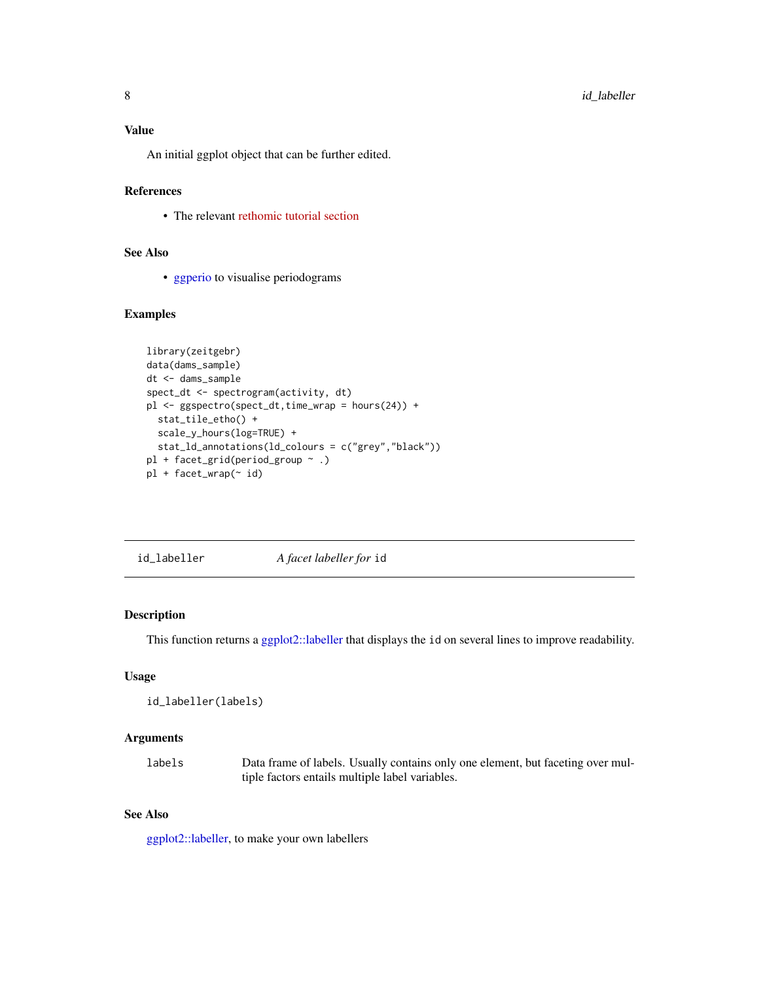<span id="page-7-0"></span>An initial ggplot object that can be further edited.

# References

• The relevant [rethomic tutorial section](https://rethomics.github.io/ggetho.html#spectrogram)

### See Also

• [ggperio](#page-5-1) to visualise periodograms

### Examples

```
library(zeitgebr)
data(dams_sample)
dt <- dams_sample
spect_dt <- spectrogram(activity, dt)
pl <- ggspectro(spect_dt,time_wrap = hours(24)) +
  stat_tile_etho() +
 scale_y_hours(log=TRUE) +
  stat_ld_annotations(ld_colours = c("grey","black"))
pl + facet_grid(period_group ~ .)
pl + facet_wrap(~ id)
```
id\_labeller *A facet labeller for* id

#### Description

This function returns a [ggplot2::labeller](#page-0-0) that displays the id on several lines to improve readability.

#### Usage

```
id_labeller(labels)
```
#### Arguments

labels Data frame of labels. Usually contains only one element, but faceting over multiple factors entails multiple label variables.

#### See Also

[ggplot2::labeller,](#page-0-0) to make your own labellers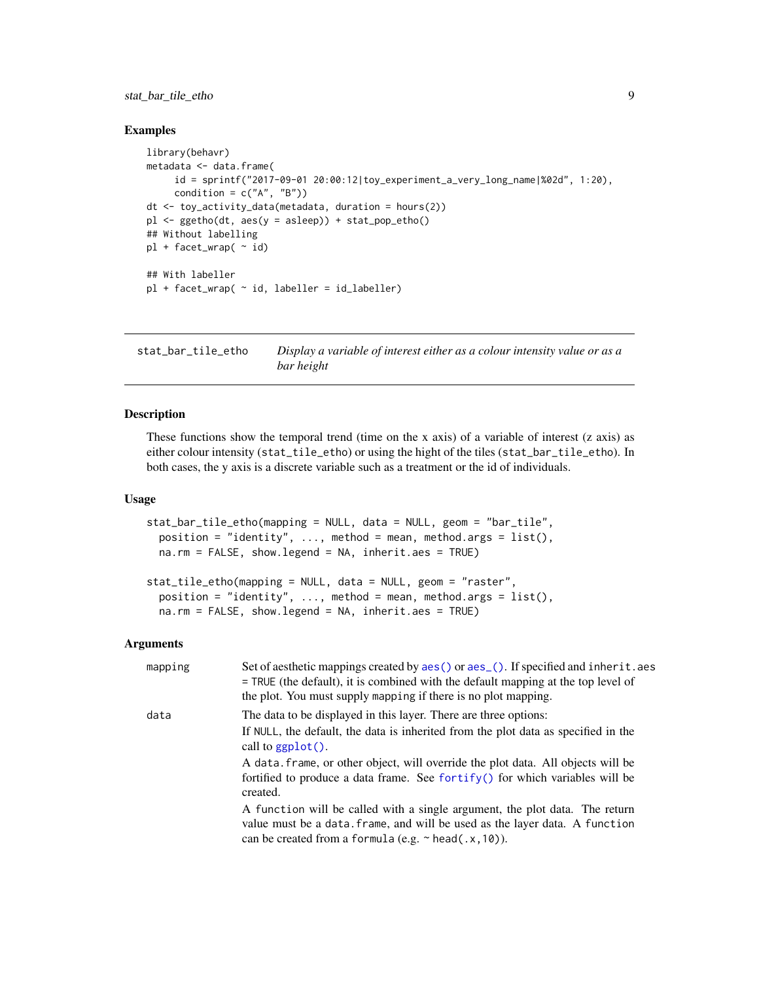<span id="page-8-0"></span>stat\_bar\_tile\_etho 9

#### Examples

```
library(behavr)
metadata <- data.frame(
     id = sprintf("2017-09-01 20:00:12|toy_experiment_a_very_long_name|%02d", 1:20),
     condition = c("A", "B")dt <- toy_activity_data(metadata, duration = hours(2))
pl <- ggetho(dt, aes(y = asleep)) + stat_pop_etho()
## Without labelling
p1 + facet_wrap( \sim id)
## With labeller
pl + facet_wrap( ~ id, labeller = id_labeller)
```
<span id="page-8-1"></span>stat\_bar\_tile\_etho *Display a variable of interest either as a colour intensity value or as a bar height*

#### <span id="page-8-2"></span>Description

These functions show the temporal trend (time on the x axis) of a variable of interest  $(z \text{ axis})$  as either colour intensity (stat\_tile\_etho) or using the hight of the tiles (stat\_bar\_tile\_etho). In both cases, the y axis is a discrete variable such as a treatment or the id of individuals.

#### Usage

```
stat_bar_tile_etho(mapping = NULL, data = NULL, geom = "bar_tile",
 position = "identity", ..., method = mean, method = args = list(),na.rm = FALSE, show.legend = NA, inherit.aes = TRUE)
```

```
stat_tile_etho(mapping = NULL, data = NULL, geom = "raster",
  position = "identity", \dots, method = mean, method.args = list(),
  na.rm = FALSE, show.legend = NA, inherit.aes = TRUE)
```

| mapping | Set of aesthetic mappings created by aes () or aes (). If specified and inherit. aes<br>$=$ TRUE (the default), it is combined with the default mapping at the top level of<br>the plot. You must supply mapping if there is no plot mapping. |
|---------|-----------------------------------------------------------------------------------------------------------------------------------------------------------------------------------------------------------------------------------------------|
| data    | The data to be displayed in this layer. There are three options:                                                                                                                                                                              |
|         | If NULL, the default, the data is inherited from the plot data as specified in the<br>call to $ggplot()$ .                                                                                                                                    |
|         | A data. frame, or other object, will override the plot data. All objects will be<br>fortified to produce a data frame. See fortify() for which variables will be<br>created.                                                                  |
|         | A function will be called with a single argument, the plot data. The return<br>value must be a data. frame, and will be used as the layer data. A function<br>can be created from a formula (e.g. $\sim$ head(.x, 10)).                       |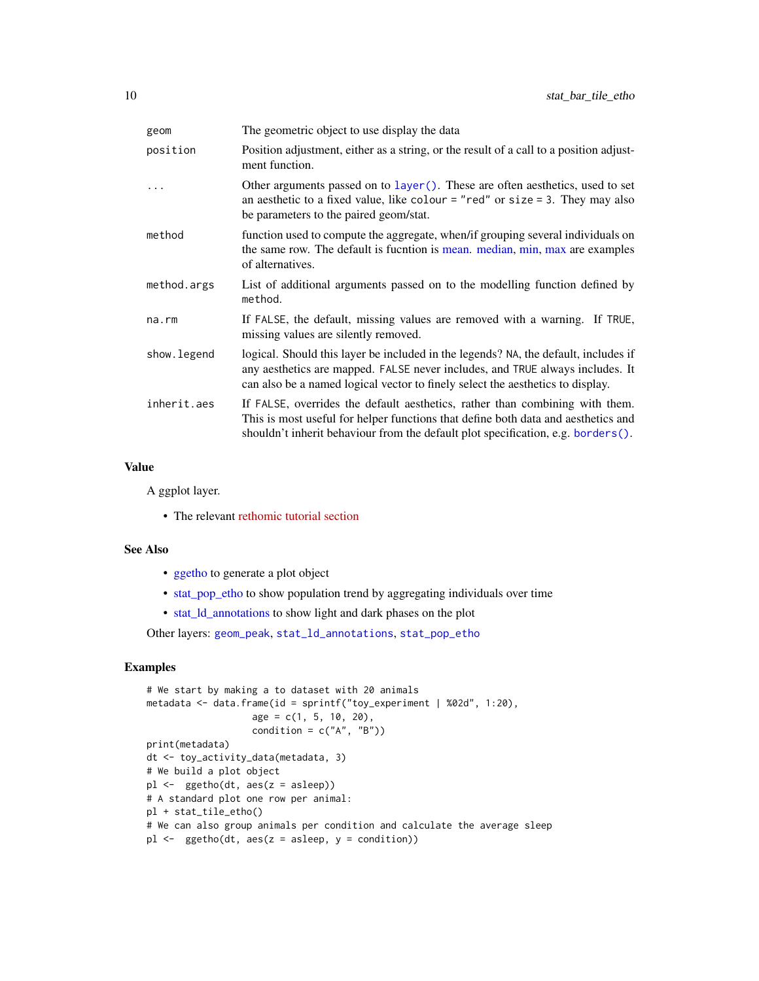<span id="page-9-0"></span>

| geom        | The geometric object to use display the data                                                                                                                                                                                                           |
|-------------|--------------------------------------------------------------------------------------------------------------------------------------------------------------------------------------------------------------------------------------------------------|
| position    | Position adjustment, either as a string, or the result of a call to a position adjust-<br>ment function.                                                                                                                                               |
|             | Other arguments passed on to $layer()$ . These are often aesthetics, used to set<br>an aesthetic to a fixed value, like colour = "red" or size = 3. They may also<br>be parameters to the paired geom/stat.                                            |
| method      | function used to compute the aggregate, when/if grouping several individuals on<br>the same row. The default is fucntion is mean. median, min, max are examples<br>of alternatives.                                                                    |
| method.args | List of additional arguments passed on to the modelling function defined by<br>method.                                                                                                                                                                 |
| $na$ . $rm$ | If FALSE, the default, missing values are removed with a warning. If TRUE,<br>missing values are silently removed.                                                                                                                                     |
| show.legend | logical. Should this layer be included in the legends? NA, the default, includes if<br>any aesthetics are mapped. FALSE never includes, and TRUE always includes. It<br>can also be a named logical vector to finely select the aesthetics to display. |
| inherit.aes | If FALSE, overrides the default aesthetics, rather than combining with them.<br>This is most useful for helper functions that define both data and aesthetics and<br>shouldn't inherit behaviour from the default plot specification, e.g. borders().  |

#### Value

A ggplot layer.

• The relevant [rethomic tutorial section](https://rethomics.github.io/ggetho.html#tile-plots)

#### See Also

- [ggetho](#page-3-1) to generate a plot object
- [stat\\_pop\\_etho](#page-12-1) to show population trend by aggregating individuals over time
- [stat\\_ld\\_annotations](#page-10-1) to show light and dark phases on the plot

Other layers: [geom\\_peak](#page-1-1), [stat\\_ld\\_annotations](#page-10-1), [stat\\_pop\\_etho](#page-12-1)

```
# We start by making a to dataset with 20 animals
metadata <- data.frame(id = sprintf("toy_experiment | %02d", 1:20),
                   age = c(1, 5, 10, 20),
                   condition = c("A", "B")print(metadata)
dt <- toy_activity_data(metadata, 3)
# We build a plot object
pl <- ggetho(dt, aes(z = asleep))
# A standard plot one row per animal:
pl + stat_tile_etho()
# We can also group animals per condition and calculate the average sleep
pl \leftarrow ggetho(dt, aes(z = asleep, y = condition))
```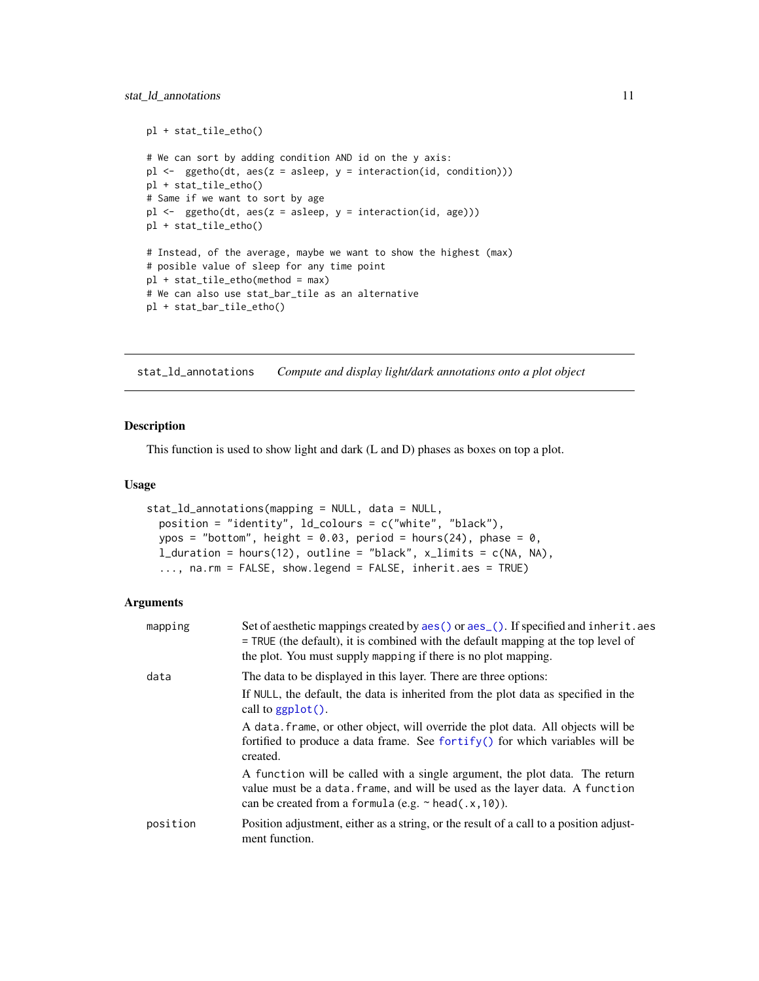```
pl + stat_tile_etho()
# We can sort by adding condition AND id on the y axis:
pl \leq-ggetho(dt, aes(z = asleep, y = interaction(id, condition)))pl + stat_tile_etho()
# Same if we want to sort by age
pl \leq-ggetho(dt, aes(z = asleep, y = interaction(id, age)))pl + stat_tile_etho()
# Instead, of the average, maybe we want to show the highest (max)
# posible value of sleep for any time point
pl + stat_tile_etho(method = max)
# We can also use stat_bar_tile as an alternative
pl + stat_bar_tile_etho()
```
<span id="page-10-1"></span>stat\_ld\_annotations *Compute and display light/dark annotations onto a plot object*

#### Description

This function is used to show light and dark (L and D) phases as boxes on top a plot.

#### Usage

```
stat_ld_annotations(mapping = NULL, data = NULL,
 position = "identity", ld_colours = c("white", "black"),
 ypos = "bottom", height = 0.03, period = hours(24), phase = 0,
  l_duration = hours(12), outline = "black", x_llimits = c(NA, NA),
  ..., na.rm = FALSE, show.legend = FALSE, inherit.aes = TRUE)
```

| mapping  | Set of aesthetic mappings created by aes () or aes (). If specified and inherit. aes<br>= TRUE (the default), it is combined with the default mapping at the top level of<br>the plot. You must supply mapping if there is no plot mapping. |
|----------|---------------------------------------------------------------------------------------------------------------------------------------------------------------------------------------------------------------------------------------------|
| data     | The data to be displayed in this layer. There are three options:<br>If NULL, the default, the data is inherited from the plot data as specified in the<br>call to $ggplot()$ .                                                              |
|          | A data frame, or other object, will override the plot data. All objects will be<br>fortified to produce a data frame. See fortify() for which variables will be<br>created.                                                                 |
|          | A function will be called with a single argument, the plot data. The return<br>value must be a data. frame, and will be used as the layer data. A function<br>can be created from a formula (e.g. $\sim$ head(.x, 10)).                     |
| position | Position adjustment, either as a string, or the result of a call to a position adjust-<br>ment function.                                                                                                                                    |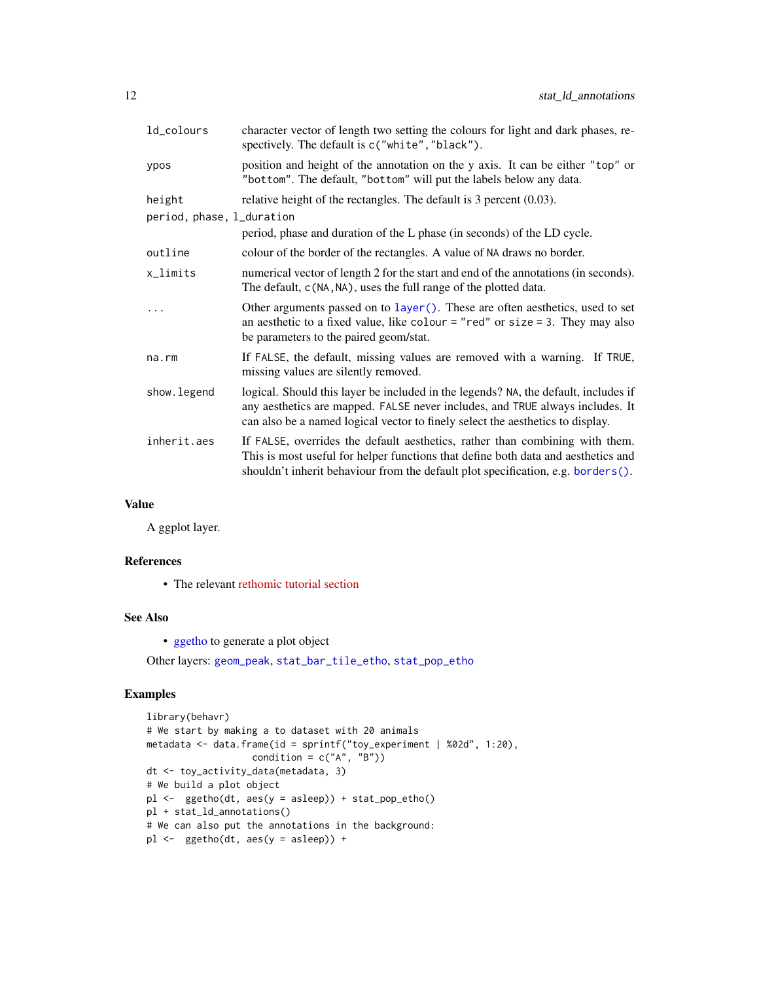<span id="page-11-0"></span>

| ld_colours                | character vector of length two setting the colours for light and dark phases, re-<br>spectively. The default is c("white", "black").                                                                                                                   |
|---------------------------|--------------------------------------------------------------------------------------------------------------------------------------------------------------------------------------------------------------------------------------------------------|
| ypos                      | position and height of the annotation on the y axis. It can be either "top" or<br>"bottom". The default, "bottom" will put the labels below any data.                                                                                                  |
| height                    | relative height of the rectangles. The default is $3$ percent $(0.03)$ .                                                                                                                                                                               |
| period, phase, l_duration |                                                                                                                                                                                                                                                        |
|                           | period, phase and duration of the L phase (in seconds) of the LD cycle.                                                                                                                                                                                |
| outline                   | colour of the border of the rectangles. A value of NA draws no border.                                                                                                                                                                                 |
| x_limits                  | numerical vector of length 2 for the start and end of the annotations (in seconds).<br>The default, c(NA, NA), uses the full range of the plotted data.                                                                                                |
| $\ddots$                  | Other arguments passed on to layer (). These are often aesthetics, used to set<br>an aesthetic to a fixed value, like colour = "red" or size = 3. They may also<br>be parameters to the paired geom/stat.                                              |
| na.rm                     | If FALSE, the default, missing values are removed with a warning. If TRUE,<br>missing values are silently removed.                                                                                                                                     |
| show.legend               | logical. Should this layer be included in the legends? NA, the default, includes if<br>any aesthetics are mapped. FALSE never includes, and TRUE always includes. It<br>can also be a named logical vector to finely select the aesthetics to display. |
| inherit.aes               | If FALSE, overrides the default aesthetics, rather than combining with them.<br>This is most useful for helper functions that define both data and aesthetics and<br>shouldn't inherit behaviour from the default plot specification, e.g. borders().  |

# Value

A ggplot layer.

# References

• The relevant [rethomic tutorial section](https://rethomics.github.io/ggetho.html#ld-annotations)

#### See Also

• [ggetho](#page-3-1) to generate a plot object

Other layers: [geom\\_peak](#page-1-1), [stat\\_bar\\_tile\\_etho](#page-8-1), [stat\\_pop\\_etho](#page-12-1)

```
library(behavr)
# We start by making a to dataset with 20 animals
metadata <- data.frame(id = sprintf("toy_experiment | %02d", 1:20),
                  condition = c("A", "B")dt <- toy_activity_data(metadata, 3)
# We build a plot object
pl <- ggetho(dt, aes(y = asleep)) + stat_pop_etho()
pl + stat_ld_annotations()
# We can also put the annotations in the background:
pl <- ggetho(dt, aes(y = asleep)) +
```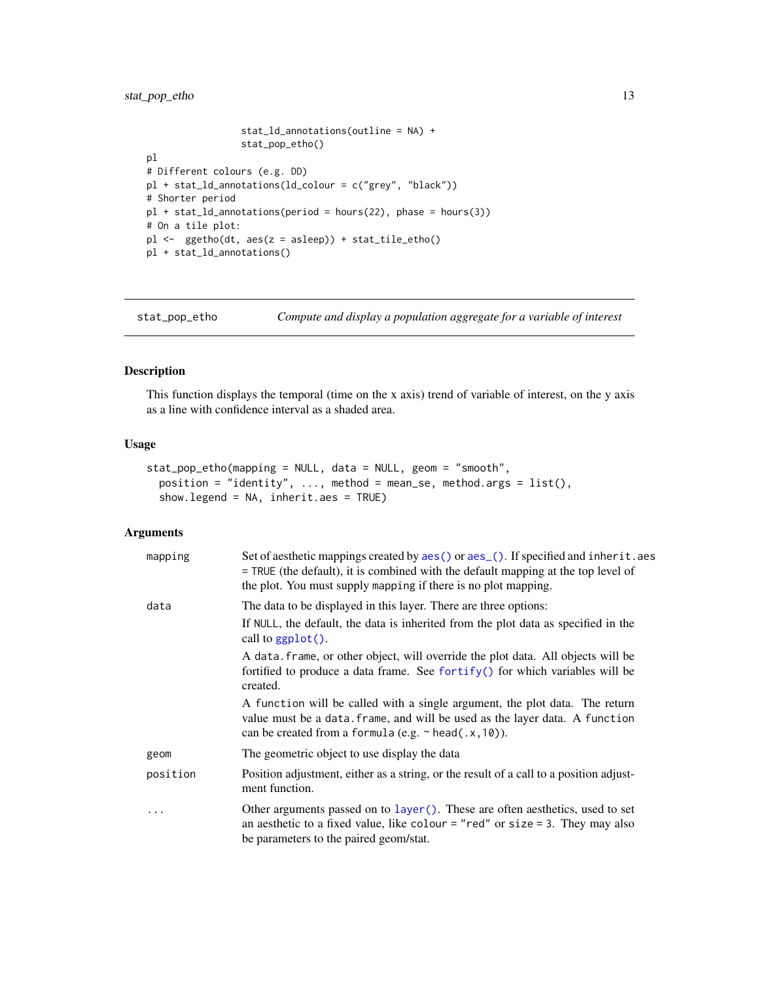```
stat_ld_annotations(outline = NA) +
                 stat_pop_etho()
pl
# Different colours (e.g. DD)
pl + stat_ld_annotations(ld_colour = c("grey", "black"))
# Shorter period
pl + stat_ld_annotations(period = hours(22), phase = hours(3))
# On a tile plot:
pl <- ggetho(dt, aes(z = asleep)) + stat_tile_etho()
pl + stat_ld_annotations()
```
<span id="page-12-1"></span>stat\_pop\_etho *Compute and display a population aggregate for a variable of interest*

#### Description

This function displays the temporal (time on the x axis) trend of variable of interest, on the y axis as a line with confidence interval as a shaded area.

# Usage

```
stat_pop_etho(mapping = NULL, data = NULL, geom = "smooth",
 position = "identity", ..., method = mean_se, method.args = list(),
  show.legend = NA, inherit.aes = TRUE)
```

| mapping  | Set of aesthetic mappings created by aes () or aes (). If specified and inherit. aes<br>$=$ TRUE (the default), it is combined with the default mapping at the top level of<br>the plot. You must supply mapping if there is no plot mapping. |
|----------|-----------------------------------------------------------------------------------------------------------------------------------------------------------------------------------------------------------------------------------------------|
| data     | The data to be displayed in this layer. There are three options:<br>If NULL, the default, the data is inherited from the plot data as specified in the<br>call to $ggplot()$ .                                                                |
|          | A data. frame, or other object, will override the plot data. All objects will be<br>fortified to produce a data frame. See fortify() for which variables will be<br>created.                                                                  |
|          | A function will be called with a single argument, the plot data. The return<br>value must be a data. frame, and will be used as the layer data. A function<br>can be created from a formula (e.g. $\sim$ head(.x, 10)).                       |
| geom     | The geometric object to use display the data                                                                                                                                                                                                  |
| position | Position adjustment, either as a string, or the result of a call to a position adjust-<br>ment function.                                                                                                                                      |
|          | Other arguments passed on to layer (). These are often aesthetics, used to set<br>an aesthetic to a fixed value, like colour = "red" or size = 3. They may also<br>be parameters to the paired geom/stat.                                     |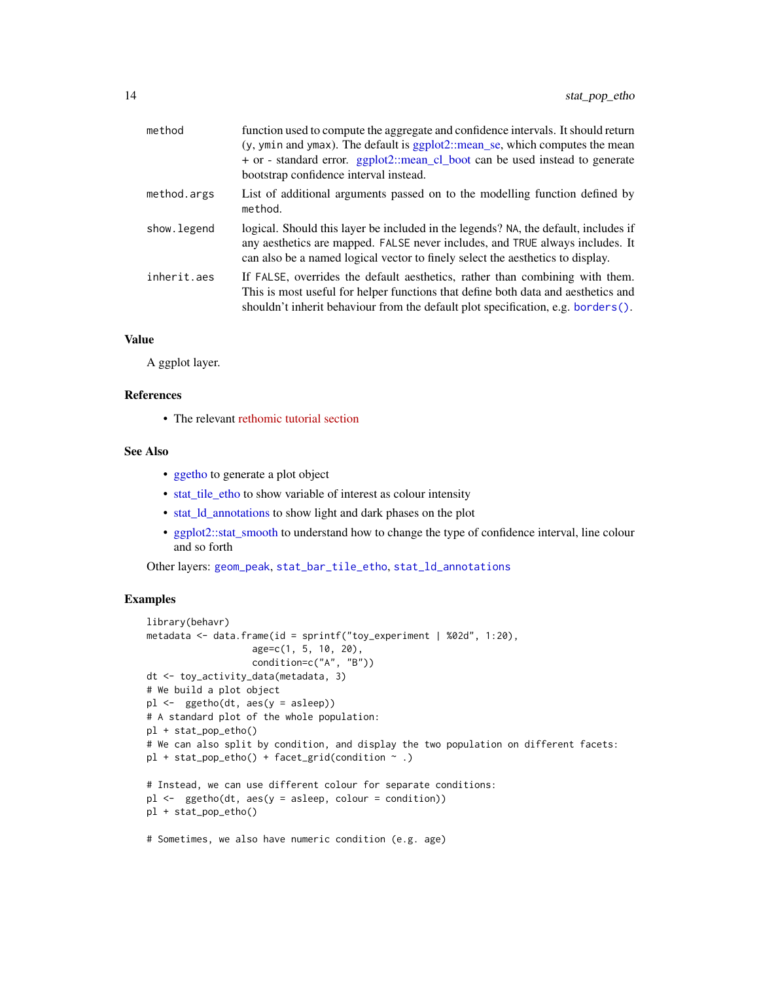<span id="page-13-0"></span>

| method       | function used to compute the aggregate and confidence intervals. It should return<br>(y, ymin and ymax). The default is ggplot2::mean_se, which computes the mean<br>+ or - standard error. ggplot2::mean_cl_boot can be used instead to generate<br>bootstrap confidence interval instead. |
|--------------|---------------------------------------------------------------------------------------------------------------------------------------------------------------------------------------------------------------------------------------------------------------------------------------------|
| method.args  | List of additional arguments passed on to the modelling function defined by<br>method.                                                                                                                                                                                                      |
| show. legend | logical. Should this layer be included in the legends? NA, the default, includes if<br>any aesthetics are mapped. FALSE never includes, and TRUE always includes. It<br>can also be a named logical vector to finely select the aesthetics to display.                                      |
| inherit.aes  | If FALSE, overrides the default aesthetics, rather than combining with them.<br>This is most useful for helper functions that define both data and aesthetics and<br>shouldn't inherit behaviour from the default plot specification, e.g. borders $()$ .                                   |

#### Value

A ggplot layer.

#### References

• The relevant [rethomic tutorial section](https://rethomics.github.io/ggetho.html#population-plots)

#### See Also

- [ggetho](#page-3-1) to generate a plot object
- [stat\\_tile\\_etho](#page-8-2) to show variable of interest as colour intensity
- [stat\\_ld\\_annotations](#page-10-1) to show light and dark phases on the plot
- [ggplot2::stat\\_smooth](#page-0-0) to understand how to change the type of confidence interval, line colour and so forth

Other layers: [geom\\_peak](#page-1-1), [stat\\_bar\\_tile\\_etho](#page-8-1), [stat\\_ld\\_annotations](#page-10-1)

```
library(behavr)
metadata <- data.frame(id = sprintf("toy_experiment | %02d", 1:20),
                   age=c(1, 5, 10, 20),
                   condition=c("A", "B"))
dt <- toy_activity_data(metadata, 3)
# We build a plot object
pl <- ggetho(dt, aes(y = asleep))
# A standard plot of the whole population:
pl + stat_pop_etho()
# We can also split by condition, and display the two population on different facets:
p1 + stat\_pop\_etho() + facet\_grid(condition ~ .)# Instead, we can use different colour for separate conditions:
pl \leftarrow ggetho(dt, aes(y = asleep, colour = condition))
pl + stat_pop_etho()
# Sometimes, we also have numeric condition (e.g. age)
```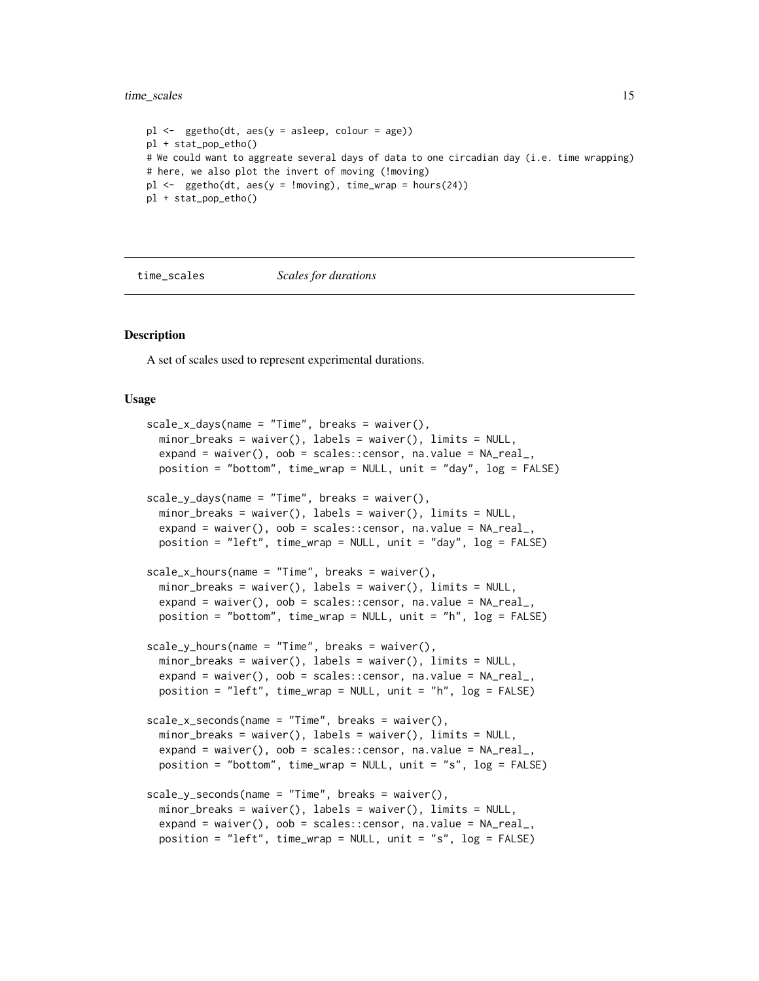<span id="page-14-0"></span>time\_scales 15

```
pl \leftarrow ggetho(dt, aes(y = asleep, colour = age))
pl + stat_pop_etho()
# We could want to aggreate several days of data to one circadian day (i.e. time wrapping)
# here, we also plot the invert of moving (!moving)
pl \leq - ggetho(dt, aes(y = !moving), time_wrap = hours(24))
pl + stat_pop_etho()
```
time\_scales *Scales for durations*

#### **Description**

A set of scales used to represent experimental durations.

#### Usage

```
scale_x_days(name = "Time", breaks = waire(),minor_breaks = waiver(), labels = waiver(), limits = NULL,
  expand = waiver(), oob = scales::censor, na.value = NA\_real_,
 position = "bottom", time_wrap = NULL, unit = "day", log = FALSE)
scale_y_days(name = "Time", breaks = waire(),minor_breaks = waiver(), labels = waiver(), limits = NULL,
 expand = waiver(), oob = scales::censor, na.value = NA_real_,
 position = "left", time_wrap = NULL, unit = "day", log = FALSE)
scale_x_hours(name = "Time", breaks = waire(),minor_breaks = waiver(), labels = waiver(), limits = NULL,
 expand = waiver(), oob = scales::censor, na.value = NA_real_,
 position = "bottom", time_wrap = NULL, unit = "h", log = FALSE)
scale_y_hours(name = "Time", breaks = waiver(),
  minor_breaks = waiver(), labels = waiver(), limits = NULL,
  expand = waiver(), oob = scales::censor, na.value = NA\_real_,
 position = "left", time_wrap = NULL, unit = "h", log = FALSE)
scale_x_seconds(name = "Time", breaks = waiver(),
 minor_breaks = waiver(), labels = waiver(), limits = NULL,
 expand = waiver(), oob = scales:: censor, na.value = NA\_realposition = "bottom", time_wrap = NULL, unit = "s", log = FALSE)
scale_y_seconds(name = "Time", breaks = waiver(),
 minor_breaks = waiver(), labels = waiver(), limits = NULL,
  expand = waiver(), oob = scales:: censor, na.value = NA\_real_,
 position = "left", time_wrap = NULL, unit = "s", log = FALSE)
```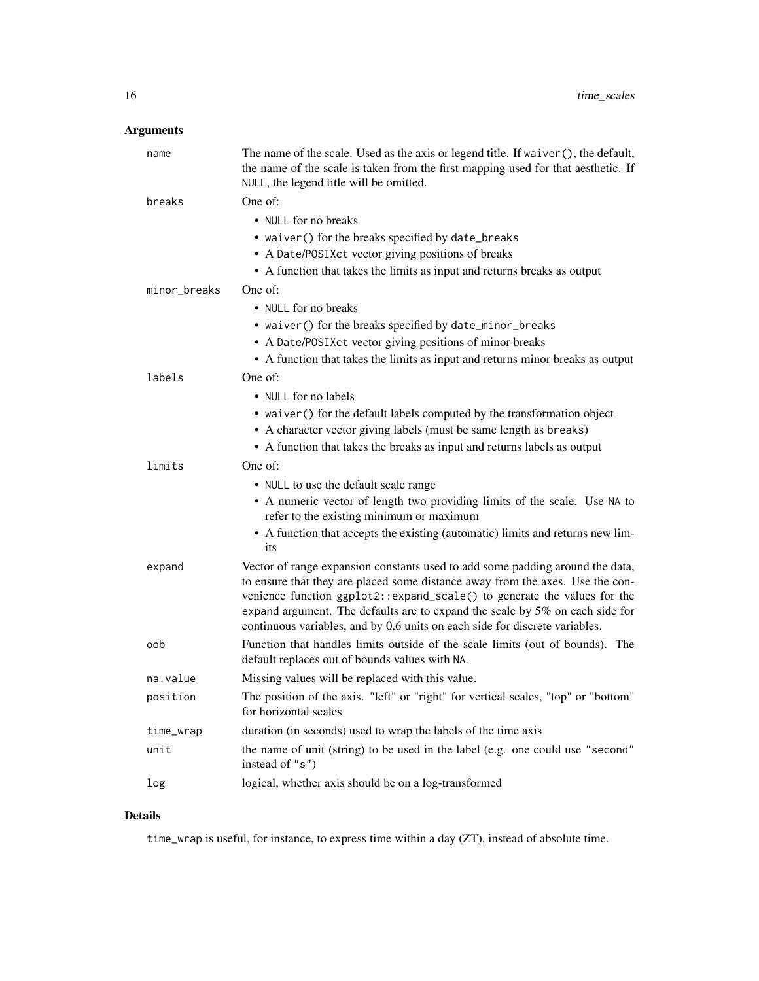# Arguments

| name         | The name of the scale. Used as the axis or legend title. If waiver (), the default,<br>the name of the scale is taken from the first mapping used for that aesthetic. If<br>NULL, the legend title will be omitted.                                                                                                                                                                                       |
|--------------|-----------------------------------------------------------------------------------------------------------------------------------------------------------------------------------------------------------------------------------------------------------------------------------------------------------------------------------------------------------------------------------------------------------|
| breaks       | One of:                                                                                                                                                                                                                                                                                                                                                                                                   |
|              | • NULL for no breaks                                                                                                                                                                                                                                                                                                                                                                                      |
|              | • waiver() for the breaks specified by date_breaks                                                                                                                                                                                                                                                                                                                                                        |
|              | • A Date/POSIXct vector giving positions of breaks                                                                                                                                                                                                                                                                                                                                                        |
|              | • A function that takes the limits as input and returns breaks as output                                                                                                                                                                                                                                                                                                                                  |
| minor_breaks | One of:                                                                                                                                                                                                                                                                                                                                                                                                   |
|              | • NULL for no breaks                                                                                                                                                                                                                                                                                                                                                                                      |
|              | • waiver() for the breaks specified by date_minor_breaks                                                                                                                                                                                                                                                                                                                                                  |
|              | • A Date/POSIXct vector giving positions of minor breaks                                                                                                                                                                                                                                                                                                                                                  |
|              | • A function that takes the limits as input and returns minor breaks as output                                                                                                                                                                                                                                                                                                                            |
| labels       | One of:                                                                                                                                                                                                                                                                                                                                                                                                   |
|              | • NULL for no labels                                                                                                                                                                                                                                                                                                                                                                                      |
|              | • waiver () for the default labels computed by the transformation object                                                                                                                                                                                                                                                                                                                                  |
|              | • A character vector giving labels (must be same length as breaks)                                                                                                                                                                                                                                                                                                                                        |
|              | • A function that takes the breaks as input and returns labels as output                                                                                                                                                                                                                                                                                                                                  |
| limits       | One of:                                                                                                                                                                                                                                                                                                                                                                                                   |
|              | • NULL to use the default scale range                                                                                                                                                                                                                                                                                                                                                                     |
|              | • A numeric vector of length two providing limits of the scale. Use NA to<br>refer to the existing minimum or maximum                                                                                                                                                                                                                                                                                     |
|              | • A function that accepts the existing (automatic) limits and returns new lim-<br>its                                                                                                                                                                                                                                                                                                                     |
| expand       | Vector of range expansion constants used to add some padding around the data,<br>to ensure that they are placed some distance away from the axes. Use the con-<br>venience function ggplot2::expand_scale() to generate the values for the<br>expand argument. The defaults are to expand the scale by 5% on each side for<br>continuous variables, and by 0.6 units on each side for discrete variables. |
| oob          | Function that handles limits outside of the scale limits (out of bounds). The<br>default replaces out of bounds values with NA.                                                                                                                                                                                                                                                                           |
| na.value     | Missing values will be replaced with this value.                                                                                                                                                                                                                                                                                                                                                          |
| position     | The position of the axis. "left" or "right" for vertical scales, "top" or "bottom"<br>for horizontal scales                                                                                                                                                                                                                                                                                               |
| time_wrap    | duration (in seconds) used to wrap the labels of the time axis                                                                                                                                                                                                                                                                                                                                            |
| unit         | the name of unit (string) to be used in the label (e.g. one could use "second"<br>instead of "s")                                                                                                                                                                                                                                                                                                         |
| log          | logical, whether axis should be on a log-transformed                                                                                                                                                                                                                                                                                                                                                      |

# Details

time\_wrap is useful, for instance, to express time within a day (ZT), instead of absolute time.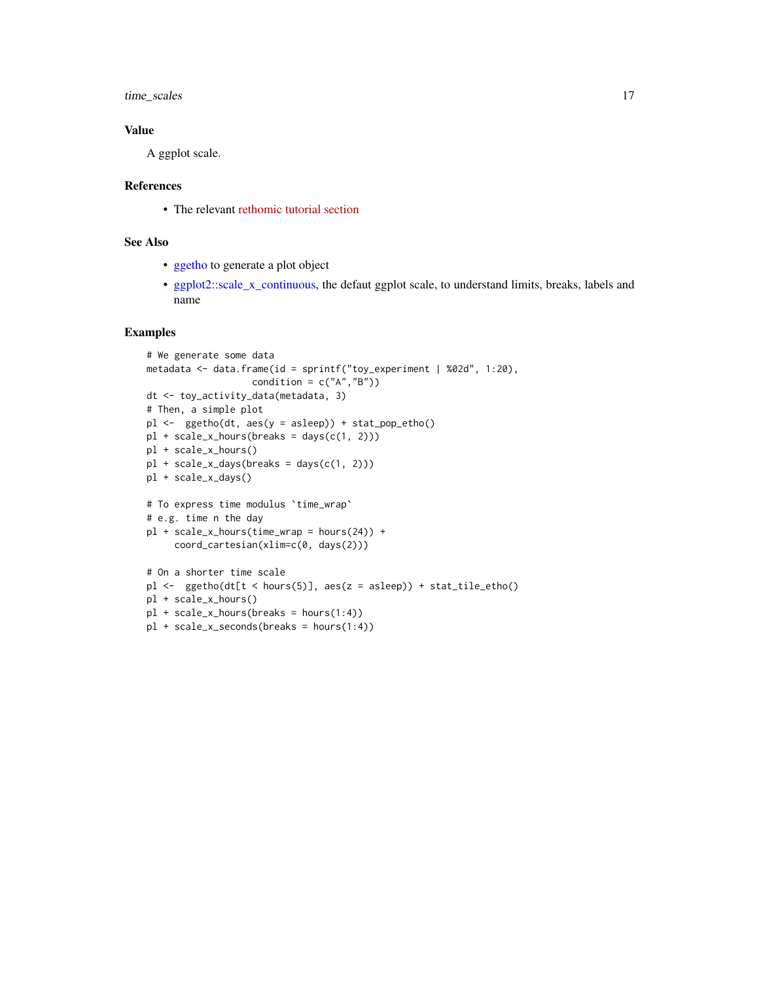<span id="page-16-0"></span>time\_scales 17

#### Value

A ggplot scale.

#### References

• The relevant [rethomic tutorial section](https://rethomics.github.io/ggetho.html#coordinate-and-scales)

#### See Also

- [ggetho](#page-3-1) to generate a plot object
- [ggplot2::scale\\_x\\_continuous,](#page-0-0) the defaut ggplot scale, to understand limits, breaks, labels and name

```
# We generate some data
metadata <- data.frame(id = sprintf("toy_experiment | %02d", 1:20),
                  condition = c("A", "B")dt <- toy_activity_data(metadata, 3)
# Then, a simple plot
pl <- ggetho(dt, aes(y = asleep)) + stat_pop_etho()
pl + scale_x_hours(breaks = days(c(1, 2)))pl + scale_x_hours()
pl + scale_x_days(breaks = days(c(1, 2)))pl + scale_x_days()
# To express time modulus `time_wrap`
# e.g. time n the day
pl + scale_x_hours(time_wrap = hours(24)) +
     coord_cartesian(xlim=c(0, days(2)))
# On a shorter time scale
pl <- ggetho(dt[t < hours(5)], aes(z = asleep)) + stat_tile_etho()
pl + scale_x_hours()
pl + scale_x_hours(breaks = hours(1:4))
pl + scale_x_seconds(breaks = hours(1:4))
```